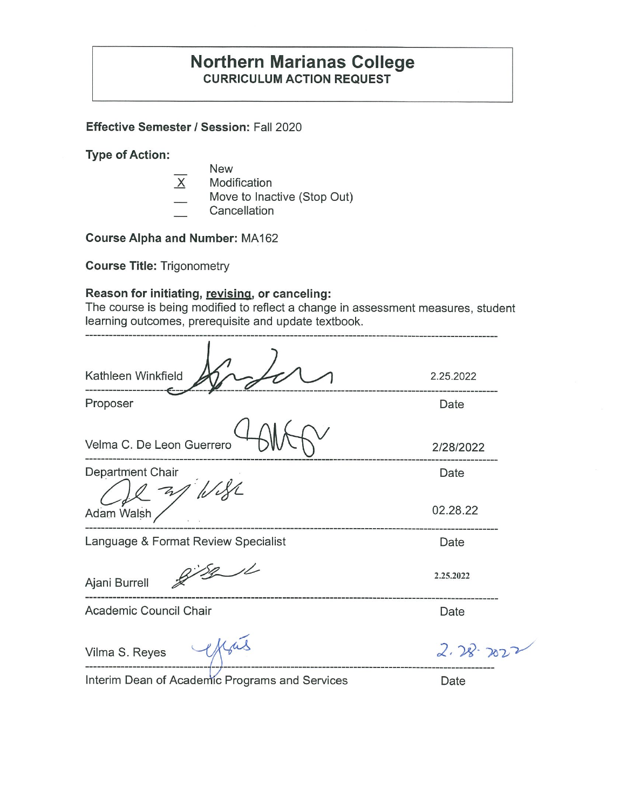### **Northern Marianas College CURRICULUM ACTION REQUEST**

**Effective Semester/ Session:** Fall 2020

**Type of Action:** 

- New
- $X$  Modification
- Move to Inactive (Stop Out)
- **Cancellation**

**Course Alpha and Number: MA**162

**Course Title:** Trigonometry

#### **Reason for initiating, revising, or canceling:**

The course is being modified to reflect a change in assessment measures, student learning outcomes, prerequisite and update textbook.

| Kathleen Winkfield                  | 2.25.2022   |
|-------------------------------------|-------------|
| Proposer                            | Date        |
| Velma C. De Leon Guerrero           | 2/28/2022   |
| Department Chair                    | Date        |
| 1182<br>Adam Walsh                  | 02.28.22    |
| Language & Format Review Specialist | Date        |
| Ajani Burrell                       | 2.25.2022   |
| Academic Council Chair              | Date        |
| Vilma S. Reyes                      | $2.28 - 20$ |

Interim Dean of Academic Programs and Services Date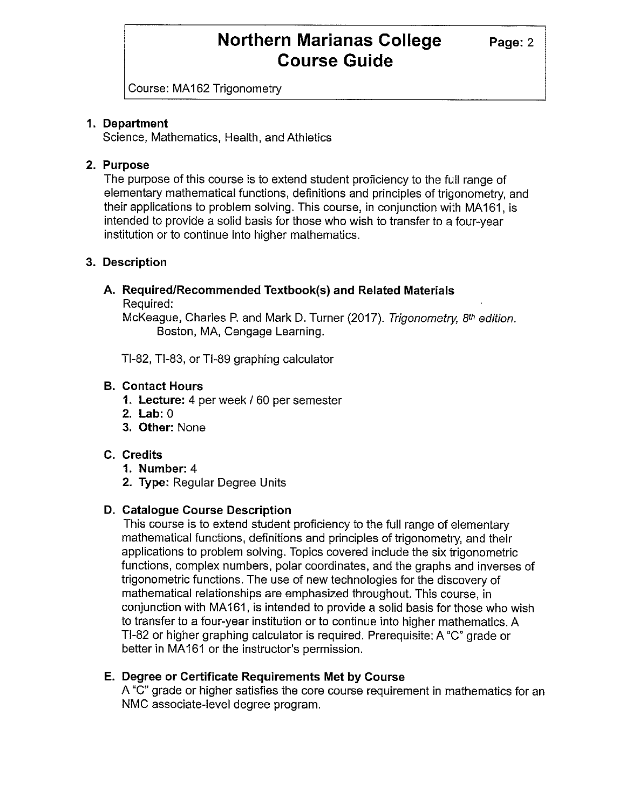## **Northern Marianas College** Page: 2 **Course Guide**

Course: MA 162 Trigonometry

#### **1. Department**

Science, Mathematics, Health, and Athletics

#### **2. Purpose**

The purpose of this course is to extend student proficiency to the full range of elementary mathematical functions, definitions and principles of trigonometry, and their applications to problem solving. This course, in conjunction with MA 161, is intended to provide a solid basis for those who wish to transfer to a four-year institution or to continue into higher mathematics.

#### **3. Description**

# **A. Required/Recommended Textbook(s) and Related Materials**

Required:

McKeague, Charles P. and Mark D. Turner (2017). Trigonometry, 8th edition. Boston, MA, Cengage Learning.

Tl-82, Tl-83, or Tl-89 graphing calculator

#### **B. Contact Hours**

- **1. Lecture:** 4 per week / 60 per semester
- **2. Lab:** 0
- **3. Other:** None

#### **C. Credits**

- **1. Number:** 4
- **2. Type:** Regular Degree Units

#### **D. Catalogue Course Description**

This course is to extend student proficiency to the full range of elementary mathematical functions, definitions and principles of trigonometry, and their applications to problem solving. Topics covered include the six trigonometric functions, complex numbers, polar coordinates, and the graphs and inverses of trigonometric functions. The use of new technologies for the discovery of mathematical relationships are emphasized throughout. This course, in conjunction with MA 161, is intended to provide a solid basis for those who wish to transfer to a four-year institution or to continue into higher mathematics. A Tl-82 or higher graphing calculator is required. Prerequisite: A "C" grade or better in MA 161 or the instructor's permission.

#### **E. Degree or Certificate Requirements Met by Course**

A "C" grade or higher satisfies the core course requirement in mathematics for an NMC associate-level degree program.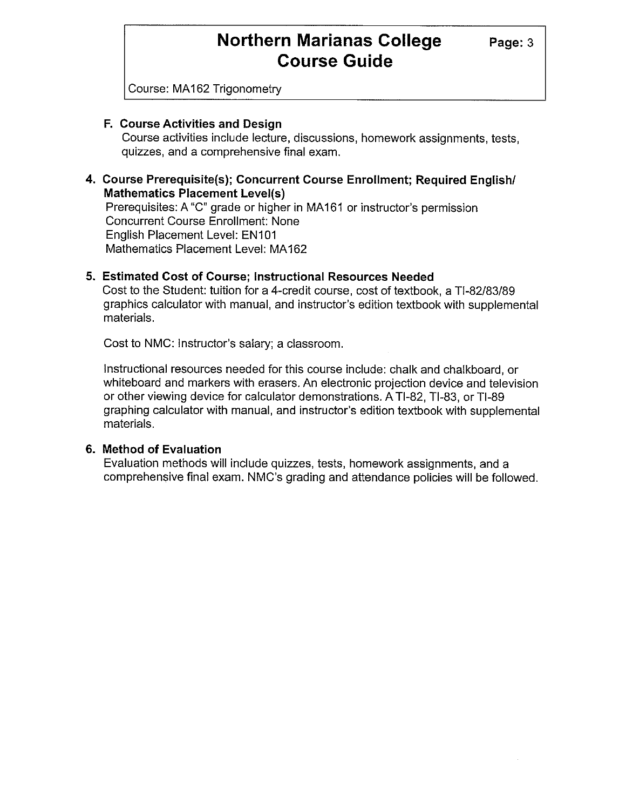## **Northern Marianas College** Page: 3 **Course Guide**

Course: MA 162 Trigonometry

#### **F. Course Activities and Design**

Course activities include lecture, discussions, homework assignments, tests, quizzes, and a comprehensive final exam.

#### **4. Course Prerequisite(s); Concurrent Course Enrollment; Required English/ Mathematics Placement Level(s)**

Prerequisites: A "C" grade or higher in MA 161 or instructor's permission Concurrent Course Enrollment: None English Placement Level: EN101 Mathematics Placement Level: MA162

#### **5. Estimated Cost of Course; Instructional Resources Needed**

Cost to the Student: tuition for a 4-credit course, cost of textbook, a Tl-82/83/89 graphics calculator with manual, and instructor's edition textbook with supplemental materials.

Cost to NMC: Instructor's salary; a classroom.

Instructional resources needed for this course include: chalk and chalkboard, or whiteboard and markers with erasers. An electronic projection device and television or other viewing device for calculator demonstrations. A Tl-82, Tl-83, or Tl-89 graphing calculator with manual, and instructor's edition textbook with supplemental materials.

#### **6. Method of Evaluation**

Evaluation methods will include quizzes, tests, homework assignments, and a comprehensive final exam. NMC's grading and attendance policies will be followed.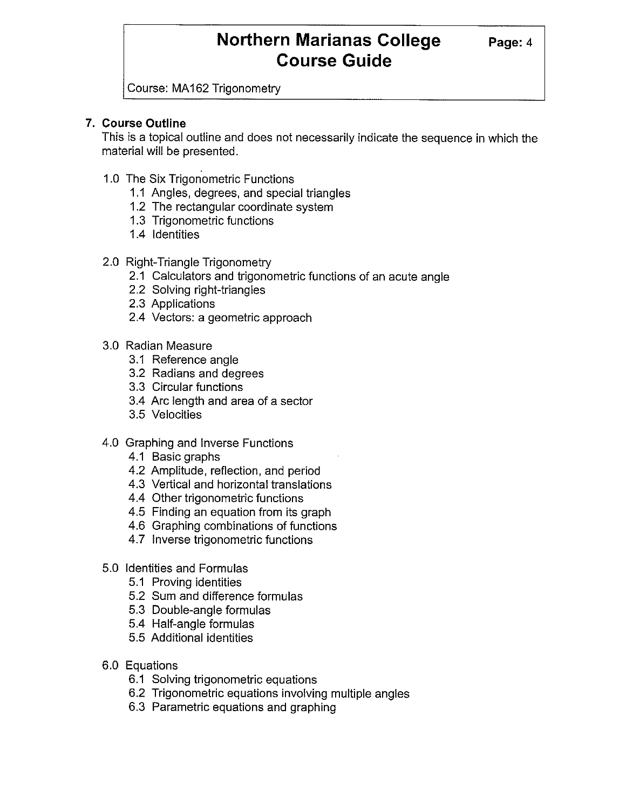## **Northern Marianas College** Page: 4 **Course Guide**

Course: MA 162 Trigonometry

#### **7. Course Outline**

This is a topical outline and does not necessarily indicate the sequence in which the material will be presented.

- 1.0 The Six Trigonometric Functions
	- 1.1 Angles, degrees, and special triangles
	- 1.2 The rectangular coordinate system
	- 1.3 Trigonometric functions
	- 1.4 Identities
- 2.0 Right-Triangle Trigonometry
	- 2.1 Calculators and trigonometric functions of an acute angle
	- 2.2 Solving right-triangles
	- 2.3 Applications
	- 2.4 Vectors: a geometric approach
- 3.0 Radian Measure
	- 3.1 Reference angle
	- 3.2 Radians and degrees
	- 3.3 Circular functions
	- 3.4 Arc length and area of a sector
	- 3.5 Velocities
- 4.0 Graphing and Inverse Functions
	- 4.1 Basic graphs
	- 4.2 Amplitude, reflection, and period
	- 4.3 Vertical and horizontal translations
	- 4.4 Other trigonometric functions
	- 4.5 Finding an equation from its graph
	- 4.6 Graphing combinations of functions
	- 4.7 Inverse trigonometric functions
- 5.0 Identities and Formulas
	- 5.1 Proving identities
	- 5.2 Sum and difference formulas
	- 5.3 Double-angle formulas
	- 5.4 Half-angle formulas
	- 5.5 Additional identities
- 6.0 Equations
	- 6.1 Solving trigonometric equations
	- 6.2 Trigonometric equations involving multiple angles
	- 6.3 Parametric equations and graphing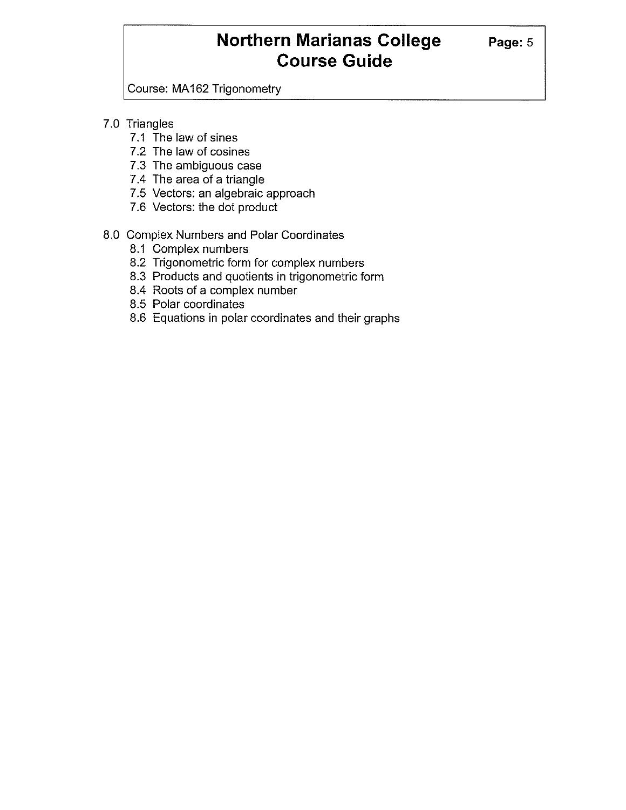### **Northern Marianas College Page: 5 Course Guide**

Course: MA 162 Trigonometry

#### 7.0 Triangles

- 7.1 The law of sines
- 7.2 The law of cosines
- 7.3 The ambiguous case
- 7.4 The area of a triangle
- 7.5 Vectors: an algebraic approach
- 7.6 Vectors: the dot product

#### 8.0 Complex Numbers and Polar Coordinates

- 8.1 Complex numbers
- 8.2 Trigonometric form for complex numbers
- 8.3 Products and quotients in trigonometric form
- 8.4 Roots of a complex number
- 8.5 Polar coordinates
- 8.6 Equations in polar coordinates and their graphs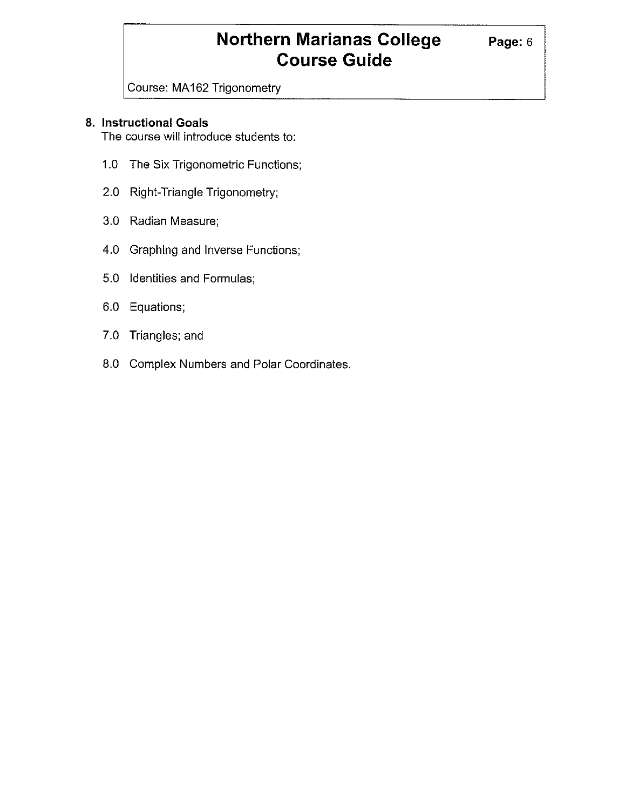## **Northern Marianas College** Page: 6 **Course Guide**

Course: MA 162 Trigonometry

#### **8. Instructional Goals**

The course will introduce students to:

- 1.0 The Six Trigonometric Functions;
- 2.0 Right-Triangle Trigonometry;
- 3.0 Radian Measure;
- 4.0 Graphing and Inverse Functions;
- 5.0 Identities and Formulas;
- 6.0 Equations;
- 7.0 Triangles; and
- 8.0 Complex Numbers and Polar Coordinates.